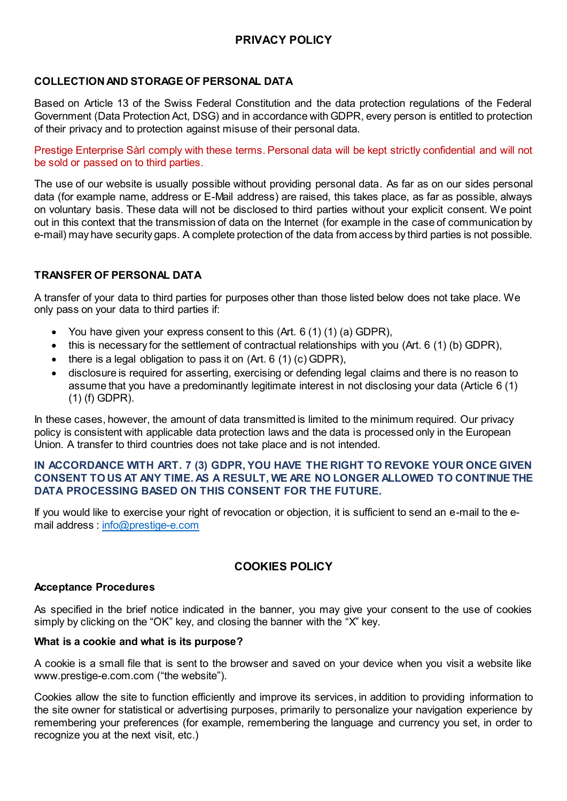# **PRIVACY POLICY**

# **COLLECTION AND STORAGE OF PERSONAL DATA**

Based on Article 13 of the Swiss Federal Constitution and the data protection regulations of the Federal Government (Data Protection Act, DSG) and in accordance with GDPR, every person is entitled to protection of their privacy and to protection against misuse of their personal data.

Prestige Enterprise Sàrl comply with these terms. Personal data will be kept strictly confidential and will not be sold or passed on to third parties.

The use of our website is usually possible without providing personal data. As far as on our sides personal data (for example name, address or E-Mail address) are raised, this takes place, as far as possible, always on voluntary basis. These data will not be disclosed to third parties without your explicit consent. We point out in this context that the transmission of data on the Internet (for example in the case of communication by e-mail) may have security gaps. A complete protection of the data from access by third parties is not possible.

# **TRANSFER OF PERSONAL DATA**

A transfer of your data to third parties for purposes other than those listed below does not take place. We only pass on your data to third parties if:

- You have given your express consent to this  $(Art. 6 (1) (1) (a) GDPR)$ ,
- this is necessary for the settlement of contractual relationships with you (Art. 6 (1) (b) GDPR),
- $\bullet$  there is a legal obligation to pass it on (Art. 6 (1) (c) GDPR),
- disclosure is required for asserting, exercising or defending legal claims and there is no reason to assume that you have a predominantly legitimate interest in not disclosing your data (Article 6 (1) (1) (f) GDPR).

In these cases, however, the amount of data transmitted is limited to the minimum required. Our privacy policy is consistent with applicable data protection laws and the data is processed only in the European Union. A transfer to third countries does not take place and is not intended.

# **IN ACCORDANCE WITH ART. 7 (3) GDPR, YOU HAVE THE RIGHT TO REVOKE YOUR ONCE GIVEN CONSENT TO US AT ANY TIME. AS A RESULT, WE ARE NO LONGER ALLOWED TO CONTINUE THE DATA PROCESSING BASED ON THIS CONSENT FOR THE FUTURE.**

If you would like to exercise your right of revocation or objection, it is sufficient to send an e-mail to the email address : [info@prestige-e.com](mailto:info@prestige-e.com)

# **COOKIES POLICY**

# **Acceptance Procedures**

As specified in the brief notice indicated in the banner, you may give your consent to the use of cookies simply by clicking on the "OK" key, and closing the banner with the "X" key.

# **What is a cookie and what is its purpose?**

A cookie is a small file that is sent to the browser and saved on your device when you visit a website like www.prestige-e.com.com ("the website").

Cookies allow the site to function efficiently and improve its services, in addition to providing information to the site owner for statistical or advertising purposes, primarily to personalize your navigation experience by remembering your preferences (for example, remembering the language and currency you set, in order to recognize you at the next visit, etc.)